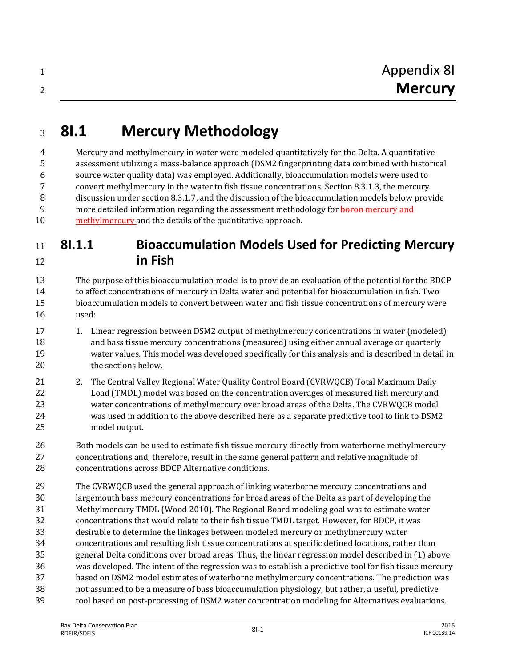# **8I.1 Mercury Methodology**

 Mercury and methylmercury in water were modeled quantitatively for the Delta. A quantitative assessment utilizing a mass-balance approach (DSM2 fingerprinting data combined with historical source water quality data) was employed. Additionally, bioaccumulation models were used to convert methylmercury in the water to fish tissue concentrations. Section 8.3.1.3, the mercury discussion under section 8.3.1.7, and the discussion of the bioaccumulation models below provide 9 more detailed information regarding the assessment methodology for **boron**-mercury and methylmercury and the details of the quantitative approach.

#### **8I.1.1 Bioaccumulation Models Used for Predicting Mercury in Fish**

 The purpose of this bioaccumulation model is to provide an evaluation of the potential for the BDCP to affect concentrations of mercury in Delta water and potential for bioaccumulation in fish. Two bioaccumulation models to convert between water and fish tissue concentrations of mercury were used:

- 1. Linear regression between DSM2 output of methylmercury concentrations in water (modeled) and bass tissue mercury concentrations (measured) using either annual average or quarterly water values. This model was developed specifically for this analysis and is described in detail in the sections below.
- 21 2. The Central Valley Regional Water Quality Control Board (CVRWQCB) Total Maximum Daily Load (TMDL) model was based on the concentration averages of measured fish mercury and water concentrations of methylmercury over broad areas of the Delta. The CVRWQCB model was used in addition to the above described here as a separate predictive tool to link to DSM2 model output.
- Both models can be used to estimate fish tissue mercury directly from waterborne methylmercury concentrations and, therefore, result in the same general pattern and relative magnitude of concentrations across BDCP Alternative conditions.
- The CVRWQCB used the general approach of linking waterborne mercury concentrations and largemouth bass mercury concentrations for broad areas of the Delta as part of developing the Methylmercury TMDL (Wood 2010). The Regional Board modeling goal was to estimate water concentrations that would relate to their fish tissue TMDL target. However, for BDCP, it was desirable to determine the linkages between modeled mercury or methylmercury water concentrations and resulting fish tissue concentrations at specific defined locations, rather than general Delta conditions over broad areas. Thus, the linear regression model described in (1) above was developed. The intent of the regression was to establish a predictive tool for fish tissue mercury based on DSM2 model estimates of waterborne methylmercury concentrations. The prediction was not assumed to be a measure of bass bioaccumulation physiology, but rather, a useful, predictive tool based on post-processing of DSM2 water concentration modeling for Alternatives evaluations.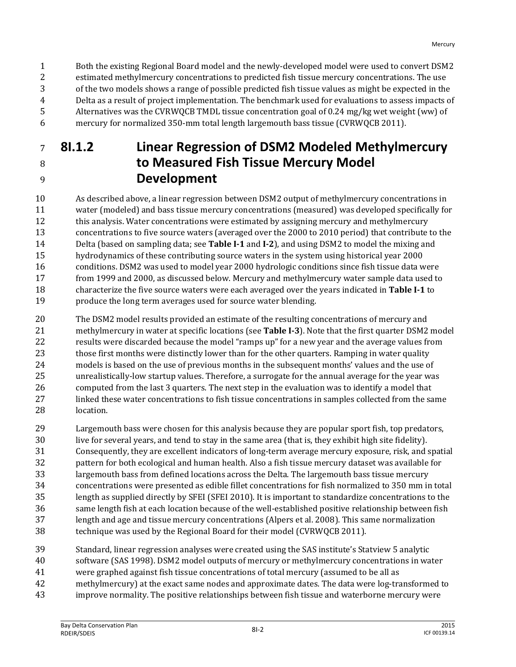Both the existing Regional Board model and the newly-developed model were used to convert DSM2 estimated methylmercury concentrations to predicted fish tissue mercury concentrations. The use of the two models shows a range of possible predicted fish tissue values as might be expected in the Delta as a result of project implementation. The benchmark used for evaluations to assess impacts of Alternatives was the CVRWQCB TMDL tissue concentration goal of 0.24 mg/kg wet weight (ww) of mercury for normalized 350-mm total length largemouth bass tissue (CVRWQCB 2011).

### **8I.1.2 Linear Regression of DSM2 Modeled Methylmercury to Measured Fish Tissue Mercury Model Development**

 As described above, a linear regression between DSM2 output of methylmercury concentrations in water (modeled) and bass tissue mercury concentrations (measured) was developed specifically for this analysis. Water concentrations were estimated by assigning mercury and methylmercury concentrations to five source waters (averaged over the 2000 to 2010 period) that contribute to the Delta (based on sampling data; see **Table I-1** and **I-2**), and using DSM2 to model the mixing and hydrodynamics of these contributing source waters in the system using historical year 2000 conditions. DSM2 was used to model year 2000 hydrologic conditions since fish tissue data were from 1999 and 2000, as discussed below. Mercury and methylmercury water sample data used to characterize the five source waters were each averaged over the years indicated in **Table I-1** to produce the long term averages used for source water blending.

 The DSM2 model results provided an estimate of the resulting concentrations of mercury and methylmercury in water at specific locations (see **Table I-3**). Note that the first quarter DSM2 model results were discarded because the model "ramps up" for a new year and the average values from 23 those first months were distinctly lower than for the other quarters. Ramping in water quality models is based on the use of previous months in the subsequent months' values and the use of unrealistically-low startup values. Therefore, a surrogate for the annual average for the year was computed from the last 3 quarters. The next step in the evaluation was to identify a model that linked these water concentrations to fish tissue concentrations in samples collected from the same location.

- Largemouth bass were chosen for this analysis because they are popular sport fish, top predators, live for several years, and tend to stay in the same area (that is, they exhibit high site fidelity). Consequently, they are excellent indicators of long-term average mercury exposure, risk, and spatial pattern for both ecological and human health. Also a fish tissue mercury dataset was available for largemouth bass from defined locations across the Delta. The largemouth bass tissue mercury concentrations were presented as edible fillet concentrations for fish normalized to 350 mm in total length as supplied directly by SFEI (SFEI 2010). It is important to standardize concentrations to the same length fish at each location because of the well-established positive relationship between fish length and age and tissue mercury concentrations (Alpers et al. 2008). This same normalization technique was used by the Regional Board for their model (CVRWQCB 2011).
- Standard, linear regression analyses were created using the SAS institute's Statview 5 analytic software (SAS 1998). DSM2 model outputs of mercury or methylmercury concentrations in water were graphed against fish tissue concentrations of total mercury (assumed to be all as methylmercury) at the exact same nodes and approximate dates. The data were log-transformed to
- improve normality. The positive relationships between fish tissue and waterborne mercury were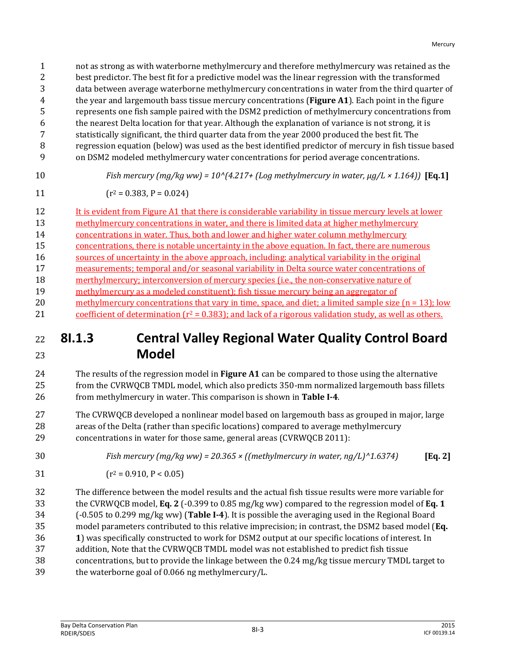not as strong as with waterborne methylmercury and therefore methylmercury was retained as the best predictor. The best fit for a predictive model was the linear regression with the transformed data between average waterborne methylmercury concentrations in water from the third quarter of the year and largemouth bass tissue mercury concentrations (**Figure A1**). Each point in the figure represents one fish sample paired with the DSM2 prediction of methylmercury concentrations from the nearest Delta location for that year. Although the explanation of variance is not strong, it is statistically significant, the third quarter data from the year 2000 produced the best fit. The regression equation (below) was used as the best identified predictor of mercury in fish tissue based on DSM2 modeled methylmercury water concentrations for period average concentrations.

$$
10\quad
$$

 $Fish$  mercury  $(mg/kg$  ww) =  $10^{(4.217+)}$  (Log methylmercury in water,  $\mu g/L \times 1.164$ )) **[Eq.1]** 

$$
(r^2 = 0.383, P = 0.024)
$$

 It is evident from Figure A1 that there is considerable variability in tissue mercury levels at lower methylmercury concentrations in water, and there is limited data at higher methylmercury concentrations in water. Thus, both and lower and higher water column methylmercury concentrations, there is notable uncertainty in the above equation. In fact, there are numerous sources of uncertainty in the above approach, including: analytical variability in the original measurements; temporal and/or seasonal variability in Delta source water concentrations of merthylmercury; interconversion of mercury species (i.e., the non-conservative nature of methylmercury as a modeled constituent); fish tissue mercury being an aggregator of 20 methylmercury concentrations that vary in time, space, and diet; a limited sample size  $(n = 13)$ ; low 21 coefficient of determination  $(r^2 = 0.383)$ ; and lack of a rigorous validation study, as well as others.

#### **8I.1.3 Central Valley Regional Water Quality Control Board Model**

- The results of the regression model in **Figure A1** can be compared to those using the alternative from the CVRWQCB TMDL model, which also predicts 350-mm normalized largemouth bass fillets from methylmercury in water. This comparison is shown in **Table I-4**.
- The CVRWQCB developed a nonlinear model based on largemouth bass as grouped in major, large areas of the Delta (rather than specific locations) compared to average methylmercury concentrations in water for those same, general areas (CVRWQCB 2011):
- *Fish mercury (mg/kg ww) = 20.365 × ((methylmercury in water, ng/L)^1.6374)* **[Eq. 2]**
- $(r^2 = 0.910, P < 0.05)$
- The difference between the model results and the actual fish tissue results were more variable for the CVRWQCB model, **Eq. 2** (-0.399 to 0.85 mg/kg ww) compared to the regression model of **Eq. 1** (-0.505 to 0.299 mg/kg ww) (**Table I-4**). It is possible the averaging used in the Regional Board model parameters contributed to this relative imprecision; in contrast, the DSM2 based model (**Eq. 1**) was specifically constructed to work for DSM2 output at our specific locations of interest. In addition, Note that the CVRWQCB TMDL model was not established to predict fish tissue concentrations, but to provide the linkage between the 0.24 mg/kg tissue mercury TMDL target to the waterborne goal of 0.066 ng methylmercury/L.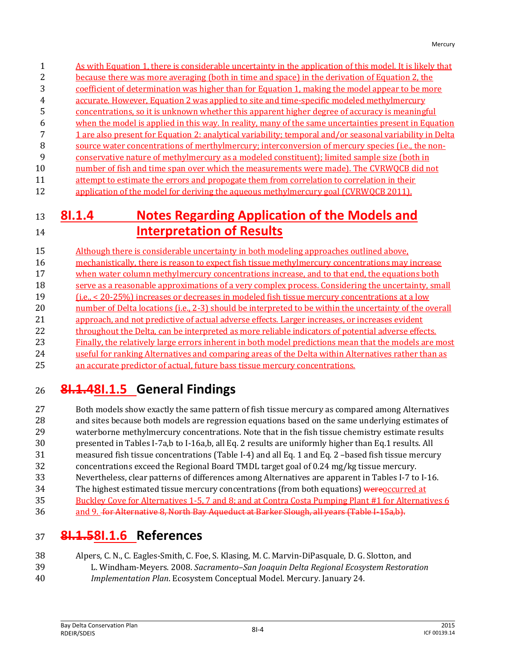- As with Equation 1, there is considerable uncertainty in the application of this model. It is likely that because there was more averaging (both in time and space) in the derivation of Equation 2, the
- coefficient of determination was higher than for Equation 1, making the model appear to be more
- accurate. However, Equation 2 was applied to site and time-specific modeled methylmercury
- concentrations, so it is unknown whether this apparent higher degree of accuracy is meaningful
- when the model is applied in this way. In reality, many of the same uncertainties present in Equation
- 1 are also present for Equation 2: analytical variability; temporal and/or seasonal variability in Delta
- source water concentrations of merthylmercury; interconversion of mercury species (i.e., the non-
- conservative nature of methylmercury as a modeled constituent); limited sample size (both in
- 10 number of fish and time span over which the measurements were made). The CVRWQCB did not
- 11 attempt to estimate the errors and propogate them from correlation to correlation in their
- 12 application of the model for deriving the aqueous methylmercury goal (CVRWOCB 2011).

### **8I.1.4 Notes Regarding Application of the Models and Interpretation of Results**

 Although there is considerable uncertainty in both modeling approaches outlined above, mechanistically, there is reason to expect fish tissue methylmercury concentrations may increase when water column methylmercury concentrations increase, and to that end, the equations both 18 serve as a reasonable approximations of a very complex process. Considering the uncertainty, small (i.e., < 20-25%) increases or decreases in modeled fish tissue mercury concentrations at a low 20 number of Delta locations (i.e., 2-3) should be interpreted to be within the uncertainty of the overall 21 approach, and not predictive of actual adverse effects. Larger increases, or increases evident 22 throughout the Delta, can be interpreted as more reliable indicators of potential adverse effects. Finally, the relatively large errors inherent in both model predictions mean that the models are most useful for ranking Alternatives and comparing areas of the Delta within Alternatives rather than as an accurate predictor of actual, future bass tissue mercury concentrations.

## **8I.1.48I.1.5 General Findings**

 Both models show exactly the same pattern of fish tissue mercury as compared among Alternatives and sites because both models are regression equations based on the same underlying estimates of waterborne methylmercury concentrations. Note that in the fish tissue chemistry estimate results presented in Tables I-7a,b to I-16a,b, all Eq. 2 results are uniformly higher than Eq.1 results. All measured fish tissue concentrations (Table I-4) and all Eq. 1 and Eq. 2 –based fish tissue mercury concentrations exceed the Regional Board TMDL target goal of 0.24 mg/kg tissue mercury. Nevertheless, clear patterns of differences among Alternatives are apparent in Tables I-7 to I-16. 34 The highest estimated tissue mercury concentrations (from both equations) wereoccurred at Buckley Cove for Alternatives 1-5, 7 and 8; and at Contra Costa Pumping Plant #1 for Alternatives 6

## 36 and 9. for Alternative 8, North Bay Aqueduct at Barker Slough, all years (Table I-15a,b).

## **8I.1.58I.1.6 References**

- Alpers, C. N., C. Eagles-Smith, C. Foe, S. Klasing, M. C. Marvin-DiPasquale, D. G. Slotton, and
- L. Windham-Meyers. 2008. *Sacramento–San Joaquin Delta Regional Ecosystem Restoration*
- *Implementation Plan*. Ecosystem Conceptual Model. Mercury. January 24.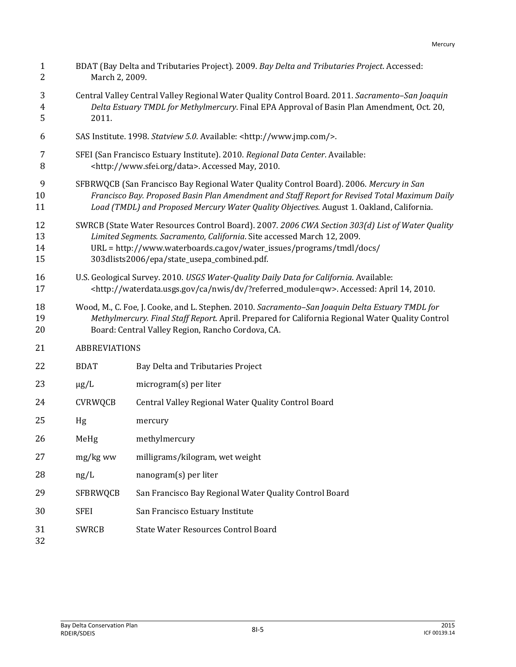| $\mathbf{1}$<br>$\overline{2}$ |                                                                                                                                                                                                                                                                                                    | BDAT (Bay Delta and Tributaries Project). 2009. Bay Delta and Tributaries Project. Accessed:<br>March 2, 2009.                                                                                                                                           |  |  |  |  |  |  |  |
|--------------------------------|----------------------------------------------------------------------------------------------------------------------------------------------------------------------------------------------------------------------------------------------------------------------------------------------------|----------------------------------------------------------------------------------------------------------------------------------------------------------------------------------------------------------------------------------------------------------|--|--|--|--|--|--|--|
| 3<br>$\overline{4}$<br>5       | Central Valley Central Valley Regional Water Quality Control Board. 2011. Sacramento-San Joaquin<br>Delta Estuary TMDL for Methylmercury. Final EPA Approval of Basin Plan Amendment, Oct. 20,<br>2011.                                                                                            |                                                                                                                                                                                                                                                          |  |  |  |  |  |  |  |
| 6                              |                                                                                                                                                                                                                                                                                                    | SAS Institute. 1998. Statview 5.0. Available: <http: www.jmp.com=""></http:> .                                                                                                                                                                           |  |  |  |  |  |  |  |
| 7<br>8                         | SFEI (San Francisco Estuary Institute). 2010. Regional Data Center. Available:<br><http: data="" www.sfei.org="">. Accessed May, 2010.</http:>                                                                                                                                                     |                                                                                                                                                                                                                                                          |  |  |  |  |  |  |  |
| 9<br>10<br>11                  | SFBRWQCB (San Francisco Bay Regional Water Quality Control Board). 2006. Mercury in San<br>Francisco Bay. Proposed Basin Plan Amendment and Staff Report for Revised Total Maximum Daily<br>Load (TMDL) and Proposed Mercury Water Quality Objectives. August 1. Oakland, California.              |                                                                                                                                                                                                                                                          |  |  |  |  |  |  |  |
| 12<br>13<br>14<br>15           | SWRCB (State Water Resources Control Board). 2007. 2006 CWA Section 303(d) List of Water Quality<br>Limited Segments. Sacramento, California. Site accessed March 12, 2009.<br>URL = http://www.waterboards.ca.gov/water_issues/programs/tmdl/docs/<br>303dlists2006/epa/state_usepa_combined.pdf. |                                                                                                                                                                                                                                                          |  |  |  |  |  |  |  |
| 16<br>17                       | U.S. Geological Survey. 2010. USGS Water-Quality Daily Data for California. Available:<br><http: ?referred_module="qw" ca="" dv="" nwis="" waterdata.usgs.gov="">. Accessed: April 14, 2010.</http:>                                                                                               |                                                                                                                                                                                                                                                          |  |  |  |  |  |  |  |
| 18<br>19<br>20                 |                                                                                                                                                                                                                                                                                                    | Wood, M., C. Foe, J. Cooke, and L. Stephen. 2010. Sacramento-San Joaquin Delta Estuary TMDL for<br>Methylmercury. Final Staff Report. April. Prepared for California Regional Water Quality Control<br>Board: Central Valley Region, Rancho Cordova, CA. |  |  |  |  |  |  |  |
| 21                             | <b>ABBREVIATIONS</b>                                                                                                                                                                                                                                                                               |                                                                                                                                                                                                                                                          |  |  |  |  |  |  |  |
| 22                             | <b>BDAT</b>                                                                                                                                                                                                                                                                                        | Bay Delta and Tributaries Project                                                                                                                                                                                                                        |  |  |  |  |  |  |  |
| 23                             | $\mu$ g/L                                                                                                                                                                                                                                                                                          | microgram(s) per liter                                                                                                                                                                                                                                   |  |  |  |  |  |  |  |
| 24                             | <b>CVRWQCB</b>                                                                                                                                                                                                                                                                                     | Central Valley Regional Water Quality Control Board                                                                                                                                                                                                      |  |  |  |  |  |  |  |
| 25                             | Hg                                                                                                                                                                                                                                                                                                 | mercury                                                                                                                                                                                                                                                  |  |  |  |  |  |  |  |
| 26                             | MeHg                                                                                                                                                                                                                                                                                               | methylmercury                                                                                                                                                                                                                                            |  |  |  |  |  |  |  |
| 27                             | mg/kg ww                                                                                                                                                                                                                                                                                           | milligrams/kilogram, wet weight                                                                                                                                                                                                                          |  |  |  |  |  |  |  |
| 28                             | ng/L                                                                                                                                                                                                                                                                                               | nanogram(s) per liter                                                                                                                                                                                                                                    |  |  |  |  |  |  |  |
| 29                             | <b>SFBRWQCB</b>                                                                                                                                                                                                                                                                                    | San Francisco Bay Regional Water Quality Control Board                                                                                                                                                                                                   |  |  |  |  |  |  |  |
| 30                             | <b>SFEI</b>                                                                                                                                                                                                                                                                                        | San Francisco Estuary Institute                                                                                                                                                                                                                          |  |  |  |  |  |  |  |
| 31                             | <b>SWRCB</b>                                                                                                                                                                                                                                                                                       | <b>State Water Resources Control Board</b>                                                                                                                                                                                                               |  |  |  |  |  |  |  |
|                                |                                                                                                                                                                                                                                                                                                    |                                                                                                                                                                                                                                                          |  |  |  |  |  |  |  |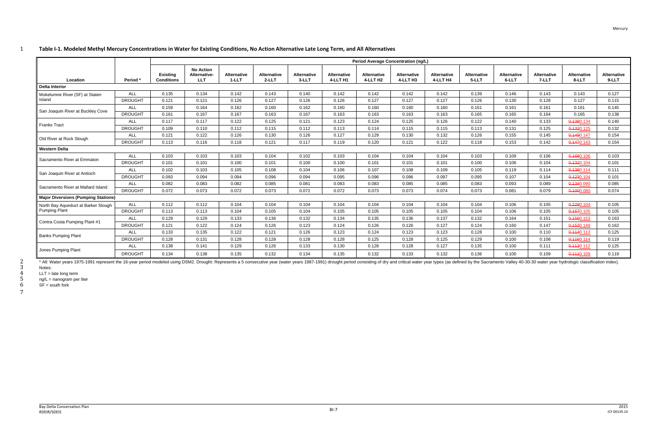#### 1 **Table I-1. Modeled Methyl Mercury Concentrations in Water for Existing Conditions, No Action Alternative Late Long Term, and All Alternatives**

|                                            |                | Period Average Concentration (ng/L)  |                                                |                               |                                |                             |                                |                                            |                                |                                |                      |                             |                             |                             |                             |
|--------------------------------------------|----------------|--------------------------------------|------------------------------------------------|-------------------------------|--------------------------------|-----------------------------|--------------------------------|--------------------------------------------|--------------------------------|--------------------------------|----------------------|-----------------------------|-----------------------------|-----------------------------|-----------------------------|
| Location                                   | Period         | <b>Existing</b><br><b>Conditions</b> | <b>No Action</b><br>Alternative-<br><b>LLT</b> | <b>Alternative</b><br>$1-LLT$ | <b>Alternative</b><br>$2$ -LLT | <b>Alternative</b><br>3-LLT | <b>Alternative</b><br>4-LLT H1 | <b>Alternative</b><br>4-LLT H <sub>2</sub> | <b>Alternative</b><br>4-LLT H3 | <b>Alternative</b><br>4-LLT H4 | Alternative<br>5-LLT | <b>Alternative</b><br>6-LLT | <b>Alternative</b><br>7-LLT | <b>Alternative</b><br>8-LLT | <b>Alternative</b><br>9-LLT |
| <b>Delta Interior</b>                      |                |                                      |                                                |                               |                                |                             |                                |                                            |                                |                                |                      |                             |                             |                             |                             |
| Mokelumne River (SF) at Staten<br>Island   | <b>ALL</b>     | 0.135                                | 0.134                                          | 0.142                         | 0.143                          | 0.140                       | 0.142                          | 0.142                                      | 0.142                          | 0.142                          | 0.139                | 0.146                       | 0.143                       | 0.143                       | 0.127                       |
|                                            | <b>DROUGHT</b> | 0.121                                | 0.121                                          | 0.126                         | 0.127                          | 0.126                       | 0.126                          | 0.127                                      | 0.127                          | 0.127                          | 0.126                | 0.130                       | 0.128                       | 0.127                       | 0.115                       |
| San Joaquin River at Buckley Cove          | <b>ALL</b>     | 0.159                                | 0.164                                          | 0.162                         | 0.160                          | 0.162                       | 0.160                          | 0.160                                      | 0.160                          | 0.160                          | 0.161                | 0.161                       | 0.161                       | 0.161                       | 0.145                       |
|                                            | <b>DROUGHT</b> | 0.161                                | 0.167                                          | 0.167                         | 0.163                          | 0.167                       | 0.163                          | 0.163                                      | 0.163                          | 0.163                          | 0.165                | 0.165                       | 0.164                       | 0.165                       | 0.138                       |
| <b>Franks Tract</b>                        | <b>ALL</b>     | 0.117                                | 0.117                                          | 0.122                         | 0.125                          | 0.121                       | 0.123                          | 0.124                                      | 0.125                          | 0.126                          | 0.122                | 0.140                       | 0.133                       | 0.1390.134                  | 0.140                       |
|                                            | <b>DROUGHT</b> | 0.109                                | 0.110                                          | 0.112                         | 0.115                          | 0.112                       | 0.113                          | 0.114                                      | 0.115                          | 0.115                          | 0.113                | 0.131                       | 0.125                       | 0.1320.125                  | 0.132                       |
| Old River at Rock Slough                   | <b>ALL</b>     | 0.121                                | 0.122                                          | 0.126                         | 0.130                          | 0.126                       | 0.127                          | 0.129                                      | 0.130                          | 0.132                          | 0.126                | 0.155                       | 0.145                       | 0.1490.147                  | 0.154                       |
|                                            | <b>DROUGHT</b> | 0.113                                | 0.116                                          | 0.118                         | 0.121                          | 0.117                       | 0.119                          | 0.120                                      | 0.121                          | 0.122                          | 0.118                | 0.153                       | 0.142                       | 0.1470.143                  | 0.154                       |
| <b>Western Delta</b>                       |                |                                      |                                                |                               |                                |                             |                                |                                            |                                |                                |                      |                             |                             |                             |                             |
|                                            | <b>ALL</b>     | 0.103                                | 0.103                                          | 0.103                         | 0.104                          | 0.102                       | 0.103                          | 0.104                                      | 0.104                          | 0.104                          | 0.103                | 0.109                       | 0.106                       | 0.1680.106                  | 0.103                       |
| Sacramento River at Emmaton                | <b>DROUGHT</b> | 0.101                                | 0.101                                          | 0.100                         | 0.101                          | 0.100                       | 0.100                          | 0.101                                      | 0.101                          | 0.101                          | 0.100                | 0.106                       | 0.104                       | 0.1320.104                  | 0.101                       |
|                                            | <b>ALL</b>     | 0.102                                | 0.103                                          | 0.105                         | 0.108                          | 0.104                       | 0.106                          | 0.107                                      | 0.108                          | 0.109                          | 0.105                | 0.119                       | 0.114                       | 0.1380.114                  | 0.111                       |
| San Joaquin River at Antioch               | <b>DROUGHT</b> | 0.093                                | 0.094                                          | 0.094                         | 0.096                          | 0.094                       | 0.095                          | 0.096                                      | 0.096                          | 0.097                          | 0.095                | 0.107                       | 0.104                       | 0.1230.104                  | 0.101                       |
| Sacramento River at Mallard Island         | ALL            | 0.082                                | 0.083                                          | 0.082                         | 0.085                          | 0.081                       | 0.083                          | 0.083                                      | 0.085                          | 0.085                          | 0.083                | 0.093                       | 0.089                       | 0.1340.090                  | 0.085                       |
|                                            | <b>DROUGHT</b> | 0.072                                | 0.073                                          | 0.072                         | 0.073                          | 0.072                       | 0.072                          | 0.073                                      | 0.073                          | 0.074                          | 0.073                | 0.081                       | 0.079                       | 0.1000.080                  | 0.074                       |
| <b>Major Diversions (Pumping Stations)</b> |                |                                      |                                                |                               |                                |                             |                                |                                            |                                |                                |                      |                             |                             |                             |                             |
| North Bay Aqueduct at Barker Slough        | <b>ALL</b>     | 0.112                                | 0.112                                          | 0.104                         | 0.104                          | 0.104                       | 0.104                          | 0.104                                      | 0.104                          | 0.104                          | 0.104                | 0.106                       | 0.105                       | 0.2290.104                  | 0.105                       |
| <b>Pumping Plant</b>                       | <b>DROUGHT</b> | 0.113                                | 0.113                                          | 0.104                         | 0.105                          | 0.104                       | 0.105                          | 0.105                                      | 0.105                          | 0.105                          | 0.104                | 0.106                       | 0.105                       | 0.1670.105                  | 0.105                       |
| Contra Costa Pumping Plant #1              | <b>ALL</b>     | 0.129                                | 0.129                                          | 0.133                         | 0.136                          | 0.132                       | 0.134                          | 0.135                                      | 0.136                          | 0.137                          | 0.132                | 0.164                       | 0.151                       | 0.1560.153                  | 0.163                       |
|                                            | <b>DROUGHT</b> | 0.121                                | 0.122                                          | 0.124                         | 0.126                          | 0.123                       | 0.124                          | 0.126                                      | 0.126                          | 0.127                          | 0.124                | 0.160                       | 0.147                       | 0.1520.149                  | 0.162                       |
| <b>Banks Pumping Plant</b>                 | <b>ALL</b>     | 0.133                                | 0.135                                          | 0.122                         | 0.121                          | 0.126                       | 0.123                          | 0.124                                      | 0.123                          | 0.123                          | 0.128                | 0.100                       | 0.110                       | 0.1140.113                  | 0.125                       |
|                                            | <b>DROUGHT</b> | 0.128                                | 0.131                                          | 0.128                         | 0.128                          | 0.128                       | 0.128                          | 0.125                                      | 0.128                          | 0.125                          | 0.129                | 0.100                       | 0.108                       | 0.1160.114                  | 0.119                       |
| Jones Pumping Plant                        | <b>ALL</b>     | 0.138                                | 0.141                                          | 0.129                         | 0.126                          | 0.133                       | 0.130                          | 0.128                                      | 0.128                          | 0.127                          | 0.135                | 0.100                       | 0.111                       | 0.1130.112                  | 0.125                       |
|                                            | <b>DROUGHT</b> | 0.134                                | 0.138                                          | 0.135                         | 0.132                          | 0.134                       | 0.135                          | 0.132                                      | 0.133                          | 0.132                          | 0.136                | 0.100                       | 0.109                       | 0.4440.109                  | 0.119                       |

\* All: Water years 1975-1991 represent the 16-year period modeled using DSM2. Drought: Represents a 5 consecutive year (water years 1987-1991) drought period consisting of dry and critical water year types (as defined by t

 $\begin{array}{ccc} 3 & \text{Notes:} \\ 4 & \text{LLT = I:} \\ 5 & \text{ng/L = I} \end{array}$  $LLT =$  late long term

 $5$  ng/L = nanogram per liter

 $6$  SF = south fork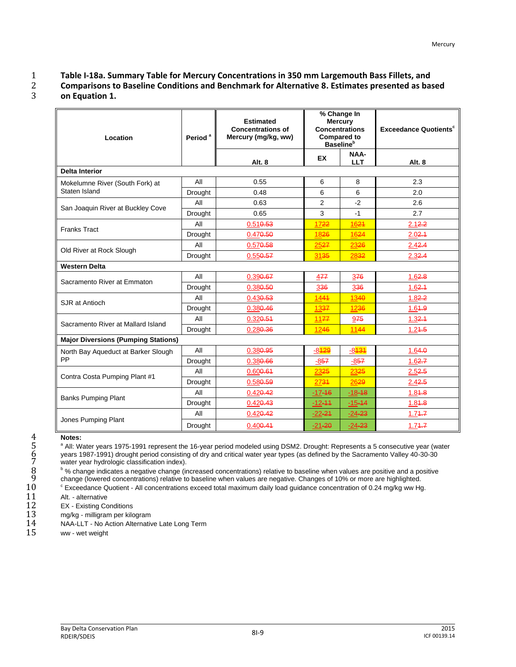#### 1 **Table I-18a. Summary Table for Mercury Concentrations in 350 mm Largemouth Bass Fillets, and**  2 **Comparisons to Baseline Conditions and Benchmark for Alternative 8. Estimates presented as based**  3 **on Equation 1.**

| Location                                   | Period <sup>a</sup> | <b>Estimated</b><br><b>Concentrations of</b><br>Mercury (mg/kg, ww) |                     | % Change In<br><b>Mercury</b><br><b>Concentrations</b><br><b>Compared to</b><br><b>Baseline</b> <sup>b</sup> | <b>Exceedance Quotients<sup>c</sup></b> |  |
|--------------------------------------------|---------------------|---------------------------------------------------------------------|---------------------|--------------------------------------------------------------------------------------------------------------|-----------------------------------------|--|
|                                            |                     | Alt. 8                                                              | <b>EX</b>           | <b>NAA-</b><br><b>LLT</b>                                                                                    | Alt. 8                                  |  |
| <b>Delta Interior</b>                      |                     |                                                                     |                     |                                                                                                              |                                         |  |
| Mokelumne River (South Fork) at            | All                 | 0.55                                                                | 6                   | 8                                                                                                            | 2.3                                     |  |
| Staten Island                              | <b>Drought</b>      | 0.48                                                                | 6                   | 6                                                                                                            | 2.0                                     |  |
| San Joaquin River at Buckley Cove          | All                 | 0.63                                                                | $\overline{2}$      | $-2$                                                                                                         | 2.6                                     |  |
|                                            | Drought             | 0.65                                                                | 3                   | $-1$                                                                                                         | 2.7                                     |  |
| <b>Franks Tract</b>                        | All                 | 0.51 <sub>0.53</sub>                                                | 1722                | 1624                                                                                                         | $2.12 - 2$                              |  |
|                                            | <b>Drought</b>      | 0.470.50                                                            | 1826                | 1624                                                                                                         | 2.02.4                                  |  |
|                                            | All                 | 0.57 <del>0.58</del>                                                | 2527                | 2326                                                                                                         | 2.42.4                                  |  |
| Old River at Rock Slough                   | <b>Drought</b>      | 0.559.57                                                            | 3135                | 2832                                                                                                         | $2.32 - 4$                              |  |
| <b>Western Delta</b>                       |                     |                                                                     |                     |                                                                                                              |                                         |  |
| Sacramento River at Emmaton                | All                 | 0.390.67                                                            | 477                 | 376                                                                                                          | $1.62 - 8$                              |  |
|                                            | Drought             | 0.380.50                                                            | 336                 | 336                                                                                                          | $1.62 - 1.62$                           |  |
| SJR at Antioch                             | All                 | $0.430 - 53$                                                        | 1441                | 1340                                                                                                         | $1.82 - 2$                              |  |
|                                            | <b>Drought</b>      | 0.380.46                                                            | 1337                | 1236                                                                                                         | $1.64 - 9$                              |  |
| Sacramento River at Mallard Island         | All                 | $0.320 - 54$                                                        | 1177                | 975                                                                                                          | $1.32 - 4$                              |  |
|                                            | <b>Drought</b>      | 0.280.36                                                            | 1246                | 1144                                                                                                         | $1.24 - 5$                              |  |
| <b>Major Diversions (Pumping Stations)</b> |                     |                                                                     |                     |                                                                                                              |                                         |  |
| North Bay Aqueduct at Barker Slough        | All                 | 0.380.95                                                            | -8 <mark>429</mark> | <u>-8<mark>431</mark></u>                                                                                    | $1.64 - 0$                              |  |
| PP                                         | <b>Drought</b>      | 0.380.66                                                            | $-857$              | $-857$                                                                                                       | $1.62 - 7$                              |  |
| Contra Costa Pumping Plant #1              | All                 | 0.600.64                                                            | 2325                | 2325                                                                                                         | $2.52 - 5$                              |  |
|                                            | Drought             | 0.580.59                                                            | 2734                | 2629                                                                                                         | 2.42.5                                  |  |
| <b>Banks Pumping Plant</b>                 | All                 | 0.42 <sub>0.42</sub>                                                | $-17 - 16$          | $-18 - 18$                                                                                                   | $1.84 - 8$                              |  |
|                                            | Drought             | 0.42 <sub>0.43</sub>                                                | $-12 - 11$          | $-15 - 14$                                                                                                   | $1.84 - 8$                              |  |
|                                            | All                 | 0.42 <sub>0.42</sub>                                                | $-22 - 24$          | $-24 - 23$                                                                                                   | $1.74 -7$                               |  |
| Jones Pumping Plant                        | <b>Drought</b>      | $0.400 - 44$                                                        | $-21 - 20$          | $-24 - 23$                                                                                                   | $1.74 - 7$                              |  |

4 **Notes:**<br>5 <sup>a</sup> All: W<br>6 years 1<br>7 water y<br>8 <sup>b</sup> % change <sup>a</sup> All: Water years 1975-1991 represent the 16-year period modeled using DSM2. Drought: Represents a 5 consecutive year (water years 1987-1991) drought period consisting of dry and critical water year types (as defined by the Sacramento Valley 40-30-30 water year hydrologic classification index).

b % change indicates a negative change (increased concentrations) relative to baseline when values are positive and a positive change (lowered concentrations) relative to baseline when values are negative. Changes of 10% or more are highlighted.<br>10 Sizonedance Quotient - All concentrations exceed total maximum daily load quidance concentration of

<sup>c</sup> Exceedance Quotient - All concentrations exceed total maximum daily load guidance concentration of 0.24 mg/kg ww Hg.<br>11 Alt. - alternative

11 Alt. - alternative<br>12 EX - Existing Co 12 EX - Existing Conditions<br>13 mg/kg - milligram per kilo

13 mg/kg - milligram per kilogram<br>14 NAA-LLT - No Action Alternativ

14 NAA-LLT - No Action Alternative Late Long Term<br>15 ww - wet weight

ww - wet weight